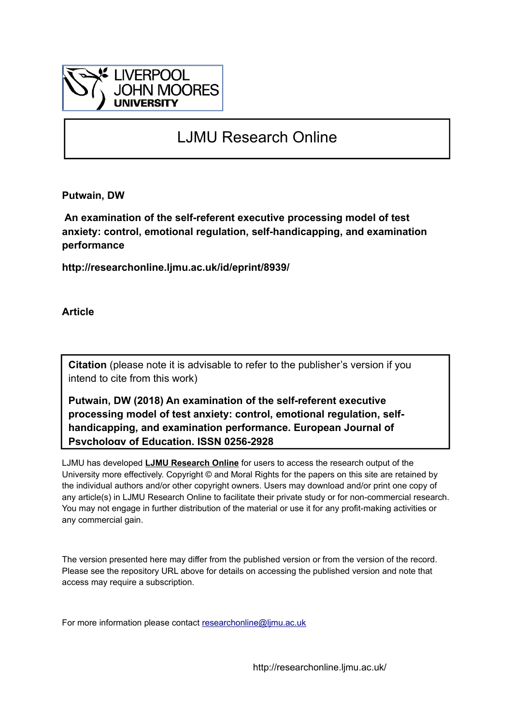

# LJMU Research Online

**Putwain, DW**

 **An examination of the self-referent executive processing model of test anxiety: control, emotional regulation, self-handicapping, and examination performance**

**http://researchonline.ljmu.ac.uk/id/eprint/8939/**

**Article**

**Citation** (please note it is advisable to refer to the publisher's version if you intend to cite from this work)

**Putwain, DW (2018) An examination of the self-referent executive processing model of test anxiety: control, emotional regulation, selfhandicapping, and examination performance. European Journal of Psychology of Education. ISSN 0256-2928** 

LJMU has developed **[LJMU Research Online](http://researchonline.ljmu.ac.uk/)** for users to access the research output of the University more effectively. Copyright © and Moral Rights for the papers on this site are retained by the individual authors and/or other copyright owners. Users may download and/or print one copy of any article(s) in LJMU Research Online to facilitate their private study or for non-commercial research. You may not engage in further distribution of the material or use it for any profit-making activities or any commercial gain.

The version presented here may differ from the published version or from the version of the record. Please see the repository URL above for details on accessing the published version and note that access may require a subscription.

For more information please contact researchonline@limu.ac.uk

http://researchonline.ljmu.ac.uk/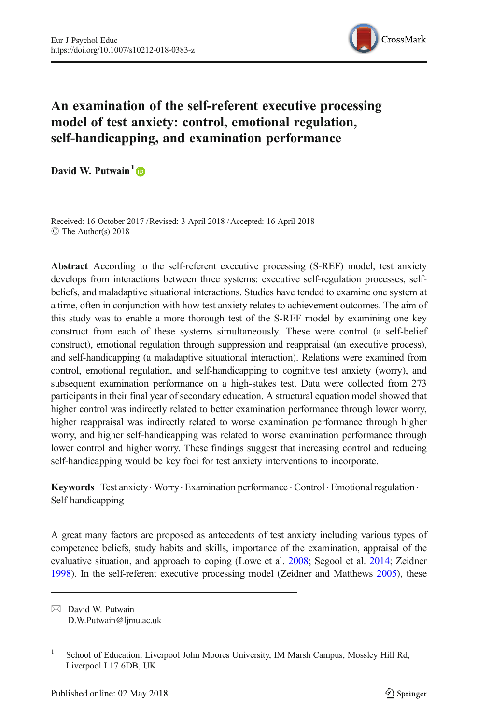

# An examination of the self-referent executive processing model of test anxiety: control, emotional regulation, self-handicapping, and examination performance

David W. Putwain<sup>1</sup>

Received: 16 October 2017 /Revised: 3 April 2018 /Accepted: 16 April 2018  $\circ$  The Author(s) 2018

Abstract According to the self-referent executive processing (S-REF) model, test anxiety develops from interactions between three systems: executive self-regulation processes, selfbeliefs, and maladaptive situational interactions. Studies have tended to examine one system at a time, often in conjunction with how test anxiety relates to achievement outcomes. The aim of this study was to enable a more thorough test of the S-REF model by examining one key construct from each of these systems simultaneously. These were control (a self-belief construct), emotional regulation through suppression and reappraisal (an executive process), and self-handicapping (a maladaptive situational interaction). Relations were examined from control, emotional regulation, and self-handicapping to cognitive test anxiety (worry), and subsequent examination performance on a high-stakes test. Data were collected from 273 participants in their final year of secondary education. A structural equation model showed that higher control was indirectly related to better examination performance through lower worry, higher reappraisal was indirectly related to worse examination performance through higher worry, and higher self-handicapping was related to worse examination performance through lower control and higher worry. These findings suggest that increasing control and reducing self-handicapping would be key foci for test anxiety interventions to incorporate.

Keywords Test anxiety. Worry. Examination performance . Control . Emotional regulation . Self-handicapping

A great many factors are proposed as antecedents of test anxiety including various types of competence beliefs, study habits and skills, importance of the examination, appraisal of the evaluative situation, and approach to coping (Lowe et al. [2008;](#page-15-0) Segool et al. [2014](#page-17-0); Zeidner [1998](#page-17-0)). In the self-referent executive processing model (Zeidner and Matthews [2005](#page-17-0)), these

 $\boxtimes$  David W. Putwain [D.W.Putwain@ljmu.ac.uk](mailto:D.W.Putwain@ljmu.ac.uk)

<sup>&</sup>lt;sup>1</sup> School of Education, Liverpool John Moores University, IM Marsh Campus, Mossley Hill Rd, Liverpool L17 6DB, UK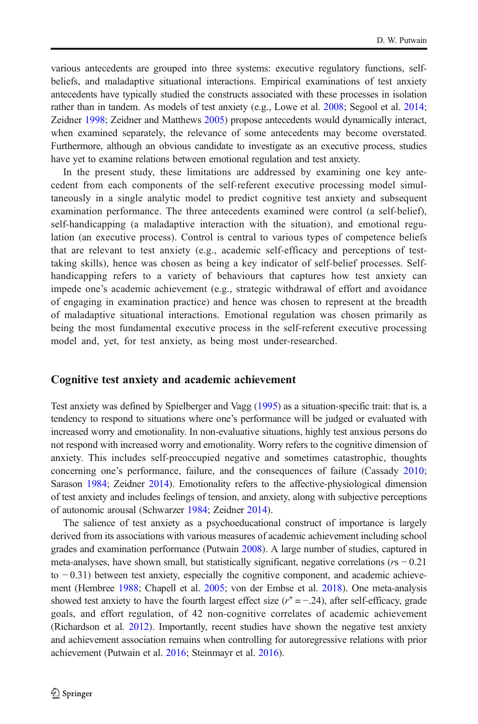various antecedents are grouped into three systems: executive regulatory functions, selfbeliefs, and maladaptive situational interactions. Empirical examinations of test anxiety antecedents have typically studied the constructs associated with these processes in isolation rather than in tandem. As models of test anxiety (e.g., Lowe et al. [2008](#page-15-0); Segool et al. [2014](#page-17-0); Zeidner [1998](#page-17-0); Zeidner and Matthews [2005](#page-17-0)) propose antecedents would dynamically interact, when examined separately, the relevance of some antecedents may become overstated. Furthermore, although an obvious candidate to investigate as an executive process, studies have yet to examine relations between emotional regulation and test anxiety.

In the present study, these limitations are addressed by examining one key antecedent from each components of the self-referent executive processing model simultaneously in a single analytic model to predict cognitive test anxiety and subsequent examination performance. The three antecedents examined were control (a self-belief), self-handicapping (a maladaptive interaction with the situation), and emotional regulation (an executive process). Control is central to various types of competence beliefs that are relevant to test anxiety (e.g., academic self-efficacy and perceptions of testtaking skills), hence was chosen as being a key indicator of self-belief processes. Selfhandicapping refers to a variety of behaviours that captures how test anxiety can impede one's academic achievement (e.g., strategic withdrawal of effort and avoidance of engaging in examination practice) and hence was chosen to represent at the breadth of maladaptive situational interactions. Emotional regulation was chosen primarily as being the most fundamental executive process in the self-referent executive processing model and, yet, for test anxiety, as being most under-researched.

#### Cognitive test anxiety and academic achievement

Test anxiety was defined by Spielberger and Vagg ([1995](#page-17-0)) as a situation-specific trait: that is, a tendency to respond to situations where one's performance will be judged or evaluated with increased worry and emotionality. In non-evaluative situations, highly test anxious persons do not respond with increased worry and emotionality. Worry refers to the cognitive dimension of anxiety. This includes self-preoccupied negative and sometimes catastrophic, thoughts concerning one's performance, failure, and the consequences of failure (Cassady [2010](#page-14-0); Sarason [1984](#page-17-0); Zeidner [2014](#page-17-0)). Emotionality refers to the affective-physiological dimension of test anxiety and includes feelings of tension, and anxiety, along with subjective perceptions of autonomic arousal (Schwarzer [1984;](#page-17-0) Zeidner [2014\)](#page-17-0).

The salience of test anxiety as a psychoeducational construct of importance is largely derived from its associations with various measures of academic achievement including school grades and examination performance (Putwain [2008\)](#page-16-0). A large number of studies, captured in meta-analyses, have shown small, but statistically significant, negative correlations ( $rs - 0.21$ ) to − 0.31) between test anxiety, especially the cognitive component, and academic achievement (Hembree [1988](#page-15-0); Chapell et al. [2005](#page-14-0); von der Embse et al. [2018\)](#page-17-0). One meta-analysis showed test anxiety to have the fourth largest effect size  $(r^+ = -.24)$ , after self-efficacy, grade goals, and effort regulation, of 42 non-cognitive correlates of academic achievement (Richardson et al. [2012\)](#page-17-0). Importantly, recent studies have shown the negative test anxiety and achievement association remains when controlling for autoregressive relations with prior achievement (Putwain et al. [2016](#page-17-0); Steinmayr et al. [2016](#page-17-0)).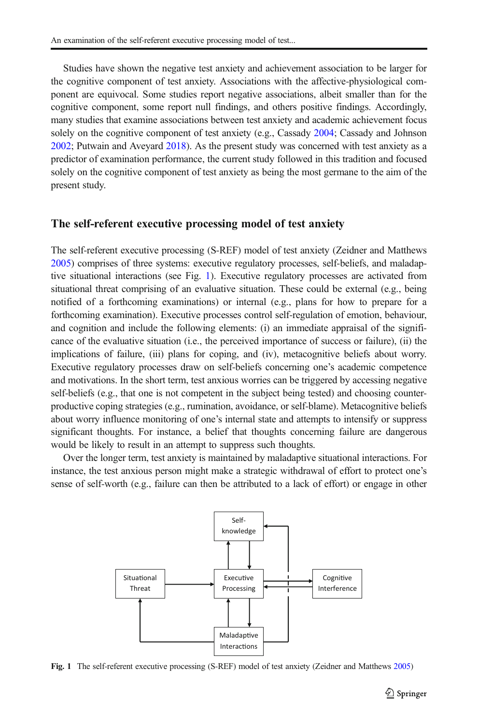<span id="page-3-0"></span>Studies have shown the negative test anxiety and achievement association to be larger for the cognitive component of test anxiety. Associations with the affective-physiological component are equivocal. Some studies report negative associations, albeit smaller than for the cognitive component, some report null findings, and others positive findings. Accordingly, many studies that examine associations between test anxiety and academic achievement focus solely on the cognitive component of test anxiety (e.g., Cassady [2004](#page-14-0); Cassady and Johnson [2002](#page-14-0); Putwain and Aveyard [2018](#page-16-0)). As the present study was concerned with test anxiety as a predictor of examination performance, the current study followed in this tradition and focused solely on the cognitive component of test anxiety as being the most germane to the aim of the present study.

#### The self-referent executive processing model of test anxiety

The self-referent executive processing (S-REF) model of test anxiety (Zeidner and Matthews [2005](#page-17-0)) comprises of three systems: executive regulatory processes, self-beliefs, and maladaptive situational interactions (see Fig. 1). Executive regulatory processes are activated from situational threat comprising of an evaluative situation. These could be external (e.g., being notified of a forthcoming examinations) or internal (e.g., plans for how to prepare for a forthcoming examination). Executive processes control self-regulation of emotion, behaviour, and cognition and include the following elements: (i) an immediate appraisal of the significance of the evaluative situation (i.e., the perceived importance of success or failure), (ii) the implications of failure, (iii) plans for coping, and (iv), metacognitive beliefs about worry. Executive regulatory processes draw on self-beliefs concerning one's academic competence and motivations. In the short term, test anxious worries can be triggered by accessing negative self-beliefs (e.g., that one is not competent in the subject being tested) and choosing counterproductive coping strategies (e.g., rumination, avoidance, or self-blame). Metacognitive beliefs about worry influence monitoring of one's internal state and attempts to intensify or suppress significant thoughts. For instance, a belief that thoughts concerning failure are dangerous would be likely to result in an attempt to suppress such thoughts.

Over the longer term, test anxiety is maintained by maladaptive situational interactions. For instance, the test anxious person might make a strategic withdrawal of effort to protect one's sense of self-worth (e.g., failure can then be attributed to a lack of effort) or engage in other



Fig. 1 The self-referent executive processing (S-REF) model of test anxiety (Zeidner and Matthews [2005\)](#page-17-0)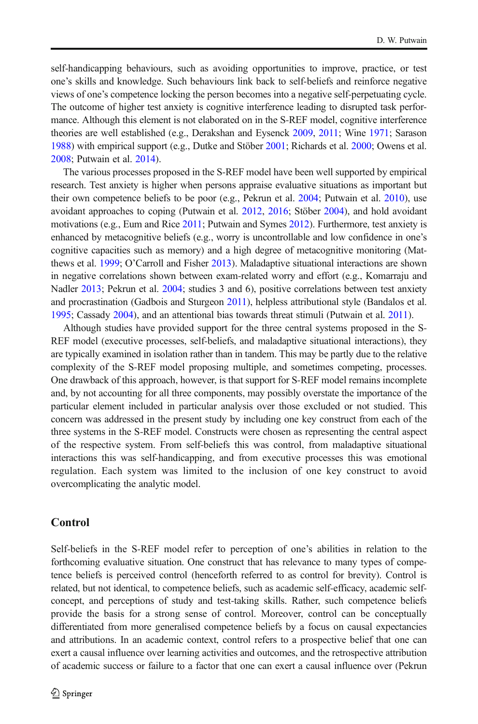self-handicapping behaviours, such as avoiding opportunities to improve, practice, or test one's skills and knowledge. Such behaviours link back to self-beliefs and reinforce negative views of one's competence locking the person becomes into a negative self-perpetuating cycle. The outcome of higher test anxiety is cognitive interference leading to disrupted task performance. Although this element is not elaborated on in the S-REF model, cognitive interference theories are well established (e.g., Derakshan and Eysenck [2009,](#page-14-0) [2011](#page-14-0); Wine [1971](#page-17-0); Sarason [1988](#page-17-0)) with empirical support (e.g., Dutke and Stöber [2001;](#page-15-0) Richards et al. [2000;](#page-17-0) Owens et al. [2008](#page-16-0); Putwain et al. [2014\)](#page-17-0).

The various processes proposed in the S-REF model have been well supported by empirical research. Test anxiety is higher when persons appraise evaluative situations as important but their own competence beliefs to be poor (e.g., Pekrun et al. [2004;](#page-16-0) Putwain et al. [2010\)](#page-16-0), use avoidant approaches to coping (Putwain et al. [2012](#page-17-0), [2016](#page-17-0); Stöber [2004](#page-17-0)), and hold avoidant motivations (e.g., Eum and Rice [2011](#page-15-0); Putwain and Symes [2012](#page-16-0)). Furthermore, test anxiety is enhanced by metacognitive beliefs (e.g., worry is uncontrollable and low confidence in one's cognitive capacities such as memory) and a high degree of metacognitive monitoring (Matthews et al. [1999;](#page-16-0) O'Carroll and Fisher [2013](#page-16-0)). Maladaptive situational interactions are shown in negative correlations shown between exam-related worry and effort (e.g., Komarraju and Nadler [2013](#page-15-0); Pekrun et al. [2004;](#page-16-0) studies 3 and 6), positive correlations between test anxiety and procrastination (Gadbois and Sturgeon [2011](#page-15-0)), helpless attributional style (Bandalos et al. [1995](#page-14-0); Cassady [2004\)](#page-14-0), and an attentional bias towards threat stimuli (Putwain et al. [2011](#page-16-0)).

Although studies have provided support for the three central systems proposed in the S-REF model (executive processes, self-beliefs, and maladaptive situational interactions), they are typically examined in isolation rather than in tandem. This may be partly due to the relative complexity of the S-REF model proposing multiple, and sometimes competing, processes. One drawback of this approach, however, is that support for S-REF model remains incomplete and, by not accounting for all three components, may possibly overstate the importance of the particular element included in particular analysis over those excluded or not studied. This concern was addressed in the present study by including one key construct from each of the three systems in the S-REF model. Constructs were chosen as representing the central aspect of the respective system. From self-beliefs this was control, from maladaptive situational interactions this was self-handicapping, and from executive processes this was emotional regulation. Each system was limited to the inclusion of one key construct to avoid overcomplicating the analytic model.

### Control

Self-beliefs in the S-REF model refer to perception of one's abilities in relation to the forthcoming evaluative situation. One construct that has relevance to many types of competence beliefs is perceived control (henceforth referred to as control for brevity). Control is related, but not identical, to competence beliefs, such as academic self-efficacy, academic selfconcept, and perceptions of study and test-taking skills. Rather, such competence beliefs provide the basis for a strong sense of control. Moreover, control can be conceptually differentiated from more generalised competence beliefs by a focus on causal expectancies and attributions. In an academic context, control refers to a prospective belief that one can exert a causal influence over learning activities and outcomes, and the retrospective attribution of academic success or failure to a factor that one can exert a causal influence over (Pekrun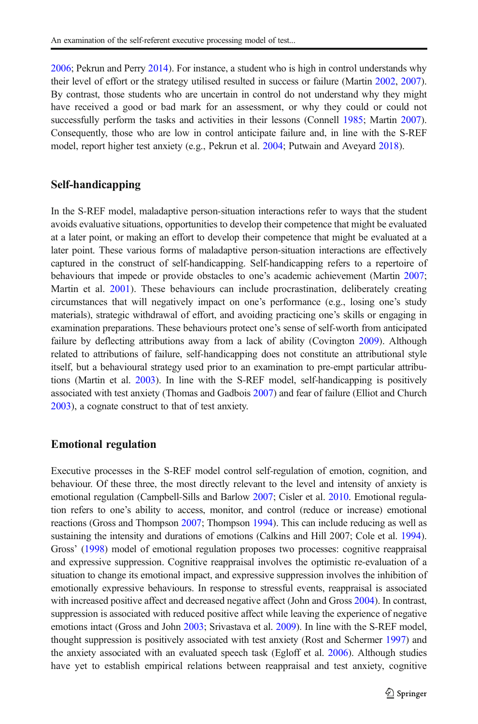[2006](#page-16-0); Pekrun and Perry [2014\)](#page-16-0). For instance, a student who is high in control understands why their level of effort or the strategy utilised resulted in success or failure (Martin [2002,](#page-16-0) [2007](#page-16-0)). By contrast, those students who are uncertain in control do not understand why they might have received a good or bad mark for an assessment, or why they could or could not successfully perform the tasks and activities in their lessons (Connell [1985;](#page-14-0) Martin [2007](#page-16-0)). Consequently, those who are low in control anticipate failure and, in line with the S-REF model, report higher test anxiety (e.g., Pekrun et al. [2004](#page-16-0); Putwain and Aveyard [2018\)](#page-16-0).

# Self-handicapping

In the S-REF model, maladaptive person-situation interactions refer to ways that the student avoids evaluative situations, opportunities to develop their competence that might be evaluated at a later point, or making an effort to develop their competence that might be evaluated at a later point. These various forms of maladaptive person-situation interactions are effectively captured in the construct of self-handicapping. Self-handicapping refers to a repertoire of behaviours that impede or provide obstacles to one's academic achievement (Martin [2007](#page-16-0); Martin et al. [2001\)](#page-16-0). These behaviours can include procrastination, deliberately creating circumstances that will negatively impact on one's performance (e.g., losing one's study materials), strategic withdrawal of effort, and avoiding practicing one's skills or engaging in examination preparations. These behaviours protect one's sense of self-worth from anticipated failure by deflecting attributions away from a lack of ability (Covington [2009\)](#page-14-0). Although related to attributions of failure, self-handicapping does not constitute an attributional style itself, but a behavioural strategy used prior to an examination to pre-empt particular attributions (Martin et al. [2003](#page-16-0)). In line with the S-REF model, self-handicapping is positively associated with test anxiety (Thomas and Gadbois [2007](#page-17-0)) and fear of failure (Elliot and Church [2003](#page-15-0)), a cognate construct to that of test anxiety.

#### Emotional regulation

Executive processes in the S-REF model control self-regulation of emotion, cognition, and behaviour. Of these three, the most directly relevant to the level and intensity of anxiety is emotional regulation (Campbell-Sills and Barlow [2007](#page-14-0); Cisler et al. [2010.](#page-14-0) Emotional regulation refers to one's ability to access, monitor, and control (reduce or increase) emotional reactions (Gross and Thompson [2007](#page-15-0); Thompson [1994\)](#page-17-0). This can include reducing as well as sustaining the intensity and durations of emotions (Calkins and Hill 2007; Cole et al. [1994](#page-14-0)). Gross' ([1998](#page-15-0)) model of emotional regulation proposes two processes: cognitive reappraisal and expressive suppression. Cognitive reappraisal involves the optimistic re-evaluation of a situation to change its emotional impact, and expressive suppression involves the inhibition of emotionally expressive behaviours. In response to stressful events, reappraisal is associated with increased positive affect and decreased negative affect (John and Gross [2004](#page-15-0)). In contrast, suppression is associated with reduced positive affect while leaving the experience of negative emotions intact (Gross and John [2003](#page-15-0); Srivastava et al. [2009](#page-17-0)). In line with the S-REF model, thought suppression is positively associated with test anxiety (Rost and Schermer [1997](#page-17-0)) and the anxiety associated with an evaluated speech task (Egloff et al. [2006](#page-15-0)). Although studies have yet to establish empirical relations between reappraisal and test anxiety, cognitive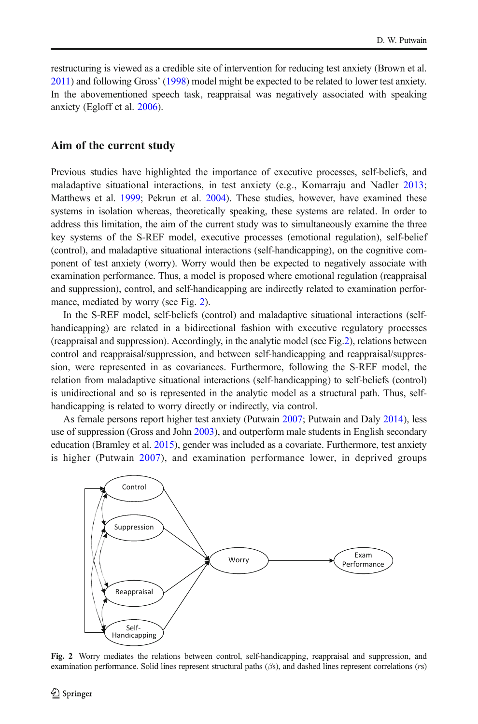restructuring is viewed as a credible site of intervention for reducing test anxiety (Brown et al. [2011\)](#page-14-0) and following Gross' ([1998](#page-15-0)) model might be expected to be related to lower test anxiety. In the abovementioned speech task, reappraisal was negatively associated with speaking anxiety (Egloff et al. [2006\)](#page-15-0).

### Aim of the current study

Previous studies have highlighted the importance of executive processes, self-beliefs, and maladaptive situational interactions, in test anxiety (e.g., Komarraju and Nadler [2013;](#page-15-0) Matthews et al. [1999](#page-16-0); Pekrun et al. [2004\)](#page-16-0). These studies, however, have examined these systems in isolation whereas, theoretically speaking, these systems are related. In order to address this limitation, the aim of the current study was to simultaneously examine the three key systems of the S-REF model, executive processes (emotional regulation), self-belief (control), and maladaptive situational interactions (self-handicapping), on the cognitive component of test anxiety (worry). Worry would then be expected to negatively associate with examination performance. Thus, a model is proposed where emotional regulation (reappraisal and suppression), control, and self-handicapping are indirectly related to examination performance, mediated by worry (see Fig. 2).

In the S-REF model, self-beliefs (control) and maladaptive situational interactions (selfhandicapping) are related in a bidirectional fashion with executive regulatory processes (reappraisal and suppression). Accordingly, in the analytic model (see Fig.2), relations between control and reappraisal/suppression, and between self-handicapping and reappraisal/suppression, were represented in as covariances. Furthermore, following the S-REF model, the relation from maladaptive situational interactions (self-handicapping) to self-beliefs (control) is unidirectional and so is represented in the analytic model as a structural path. Thus, selfhandicapping is related to worry directly or indirectly, via control.

As female persons report higher test anxiety (Putwain [2007](#page-16-0); Putwain and Daly [2014](#page-16-0)), less use of suppression (Gross and John [2003](#page-15-0)), and outperform male students in English secondary education (Bramley et al. [2015](#page-14-0)), gender was included as a covariate. Furthermore, test anxiety is higher (Putwain [2007\)](#page-16-0), and examination performance lower, in deprived groups



Fig. 2 Worry mediates the relations between control, self-handicapping, reappraisal and suppression, and examination performance. Solid lines represent structural paths (βs), and dashed lines represent correlations (rs)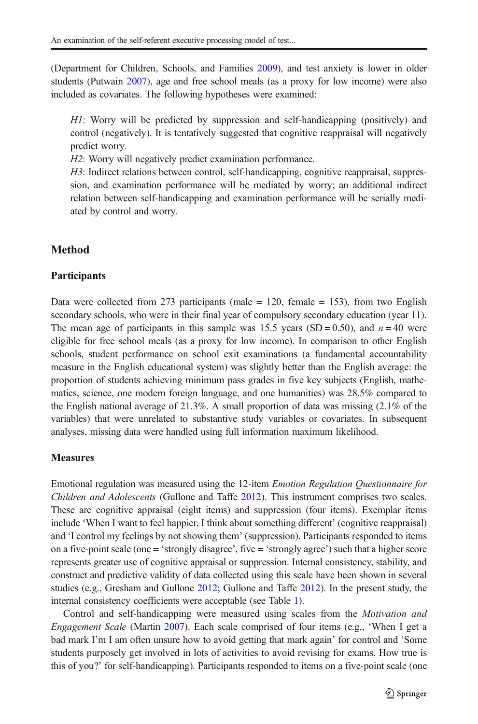(Department for Children, Schools, and Families [2009](#page-14-0)), and test anxiety is lower in older students (Putwain [2007](#page-16-0)), age and free school meals (as a proxy for low income) were also included as covariates. The following hypotheses were examined:

H1: Worry will be predicted by suppression and self-handicapping (positively) and control (negatively). It is tentatively suggested that cognitive reappraisal will negatively predict worry.

H2: Worry will negatively predict examination performance.

H3: Indirect relations between control, self-handicapping, cognitive reappraisal, suppression, and examination performance will be mediated by worry; an additional indirect relation between self-handicapping and examination performance will be serially mediated by control and worry.

# Method

# Participants

Data were collected from 273 participants (male = 120, female = 153), from two English secondary schools, who were in their final year of compulsory secondary education (year 11). The mean age of participants in this sample was 15.5 years (SD = 0.50), and  $n = 40$  were eligible for free school meals (as a proxy for low income). In comparison to other English schools, student performance on school exit examinations (a fundamental accountability measure in the English educational system) was slightly better than the English average: the proportion of students achieving minimum pass grades in five key subjects (English, mathematics, science, one modern foreign language, and one humanities) was 28.5% compared to the English national average of 21.3%. A small proportion of data was missing (2.1% of the variables) that were unrelated to substantive study variables or covariates. In subsequent analyses, missing data were handled using full information maximum likelihood.

# **Measures**

Emotional regulation was measured using the 12-item Emotion Regulation Questionnaire for Children and Adolescents (Gullone and Taffe [2012](#page-15-0)). This instrument comprises two scales. These are cognitive appraisal (eight items) and suppression (four items). Exemplar items include 'When I want to feel happier, I think about something different' (cognitive reappraisal) and 'I control my feelings by not showing them' (suppression). Participants responded to items on a five-point scale (one = 'strongly disagree', five = 'strongly agree') such that a higher score represents greater use of cognitive appraisal or suppression. Internal consistency, stability, and construct and predictive validity of data collected using this scale have been shown in several studies (e.g., Gresham and Gullone [2012;](#page-15-0) Gullone and Taffe [2012\)](#page-15-0). In the present study, the internal consistency coefficients were acceptable (see Table [1\)](#page-8-0).

Control and self-handicapping were measured using scales from the Motivation and Engagement Scale (Martin [2007\)](#page-16-0). Each scale comprised of four items (e.g., 'When I get a bad mark I'm I am often unsure how to avoid getting that mark again' for control and 'Some students purposely get involved in lots of activities to avoid revising for exams. How true is this of you?' for self-handicapping). Participants responded to items on a five-point scale (one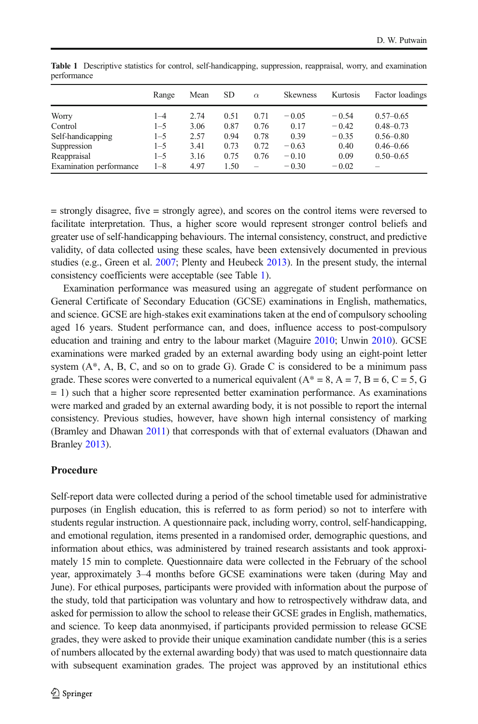|                         | Range   | Mean | SD.  | $\alpha$ | <b>Skewness</b> | Kurtosis | Factor loadings |
|-------------------------|---------|------|------|----------|-----------------|----------|-----------------|
| Worry                   | $1 - 4$ | 2.74 | 0.51 | 0.71     | $-0.05$         | $-0.54$  | $0.57 - 0.65$   |
| Control                 | $1 - 5$ | 3.06 | 0.87 | 0.76     | 0.17            | $-0.42$  | $0.48 - 0.73$   |
| Self-handicapping       | $1 - 5$ | 2.57 | 0.94 | 0.78     | 0.39            | $-0.35$  | $0.56 - 0.80$   |
| Suppression             | $1 - 5$ | 3.41 | 0.73 | 0.72     | $-0.63$         | 0.40     | $0.46 - 0.66$   |
| Reappraisal             | $1 - 5$ | 3.16 | 0.75 | 0.76     | $-0.10$         | 0.09     | $0.50 - 0.65$   |
| Examination performance | $1 - 8$ | 4.97 | 1.50 | -        | $-0.30$         | $-0.02$  |                 |

<span id="page-8-0"></span>Table 1 Descriptive statistics for control, self-handicapping, suppression, reappraisal, worry, and examination performance

= strongly disagree, five = strongly agree), and scores on the control items were reversed to facilitate interpretation. Thus, a higher score would represent stronger control beliefs and greater use of self-handicapping behaviours. The internal consistency, construct, and predictive validity, of data collected using these scales, have been extensively documented in previous studies (e.g., Green et al. [2007;](#page-15-0) Plenty and Heubeck [2013\)](#page-16-0). In the present study, the internal consistency coefficients were acceptable (see Table 1).

Examination performance was measured using an aggregate of student performance on General Certificate of Secondary Education (GCSE) examinations in English, mathematics, and science. GCSE are high-stakes exit examinations taken at the end of compulsory schooling aged 16 years. Student performance can, and does, influence access to post-compulsory education and training and entry to the labour market (Maguire [2010;](#page-16-0) Unwin [2010](#page-17-0)). GCSE examinations were marked graded by an external awarding body using an eight-point letter system  $(A^*, A, B, C, and so on to grade G)$ . Grade C is considered to be a minimum pass grade. These scores were converted to a numerical equivalent ( $A^* = 8$ ,  $A = 7$ ,  $B = 6$ ,  $C = 5$ , G = 1) such that a higher score represented better examination performance. As examinations were marked and graded by an external awarding body, it is not possible to report the internal consistency. Previous studies, however, have shown high internal consistency of marking (Bramley and Dhawan [2011\)](#page-14-0) that corresponds with that of external evaluators (Dhawan and Branley [2013](#page-14-0)).

# Procedure

Self-report data were collected during a period of the school timetable used for administrative purposes (in English education, this is referred to as form period) so not to interfere with students regular instruction. A questionnaire pack, including worry, control, self-handicapping, and emotional regulation, items presented in a randomised order, demographic questions, and information about ethics, was administered by trained research assistants and took approximately 15 min to complete. Questionnaire data were collected in the February of the school year, approximately 3–4 months before GCSE examinations were taken (during May and June). For ethical purposes, participants were provided with information about the purpose of the study, told that participation was voluntary and how to retrospectively withdraw data, and asked for permission to allow the school to release their GCSE grades in English, mathematics, and science. To keep data anonmyised, if participants provided permission to release GCSE grades, they were asked to provide their unique examination candidate number (this is a series of numbers allocated by the external awarding body) that was used to match questionnaire data with subsequent examination grades. The project was approved by an institutional ethics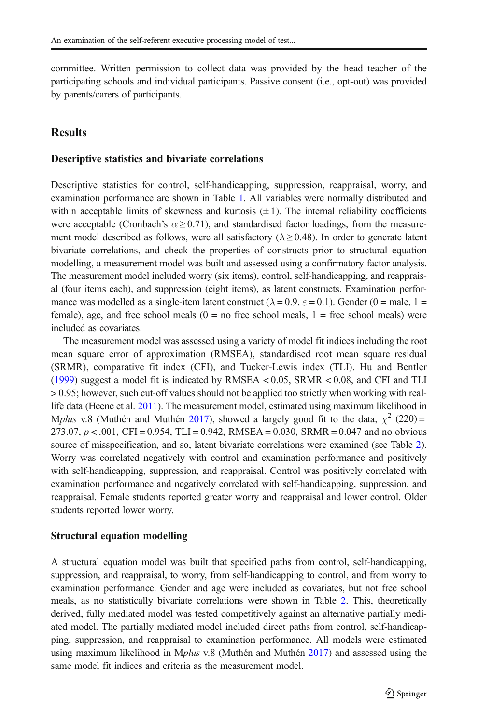committee. Written permission to collect data was provided by the head teacher of the participating schools and individual participants. Passive consent (i.e., opt-out) was provided by parents/carers of participants.

# **Results**

#### Descriptive statistics and bivariate correlations

Descriptive statistics for control, self-handicapping, suppression, reappraisal, worry, and examination performance are shown in Table [1.](#page-8-0) All variables were normally distributed and within acceptable limits of skewness and kurtosis  $(\pm 1)$ . The internal reliability coefficients were acceptable (Cronbach's  $\alpha \geq 0.71$ ), and standardised factor loadings, from the measurement model described as follows, were all satisfactory ( $\lambda \ge 0.48$ ). In order to generate latent bivariate correlations, and check the properties of constructs prior to structural equation modelling, a measurement model was built and assessed using a confirmatory factor analysis. The measurement model included worry (six items), control, self-handicapping, and reappraisal (four items each), and suppression (eight items), as latent constructs. Examination performance was modelled as a single-item latent construct ( $\lambda = 0.9$ ,  $\varepsilon = 0.1$ ). Gender (0 = male, 1 = female), age, and free school meals  $(0 = no$  free school meals,  $1 =$  free school meals) were included as covariates.

The measurement model was assessed using a variety of model fit indices including the root mean square error of approximation (RMSEA), standardised root mean square residual (SRMR), comparative fit index (CFI), and Tucker-Lewis index (TLI). Hu and Bentler ([1999](#page-15-0)) suggest a model fit is indicated by RMSEA < 0.05, SRMR < 0.08, and CFI and TLI > 0.95; however, such cut-off values should not be applied too strictly when working with reallife data (Heene et al. [2011\)](#page-15-0). The measurement model, estimated using maximum likelihood in Mplus v.8 (Muthén and Muthén [2017](#page-16-0)), showed a largely good fit to the data,  $\chi^2$  (220) = 273.07,  $p < .001$ , CFI = 0.954, TLI = 0.942, RMSEA = 0.030, SRMR = 0.047 and no obvious source of misspecification, and so, latent bivariate correlations were examined (see Table [2](#page-10-0)). Worry was correlated negatively with control and examination performance and positively with self-handicapping, suppression, and reappraisal. Control was positively correlated with examination performance and negatively correlated with self-handicapping, suppression, and reappraisal. Female students reported greater worry and reappraisal and lower control. Older students reported lower worry.

### Structural equation modelling

A structural equation model was built that specified paths from control, self-handicapping, suppression, and reappraisal, to worry, from self-handicapping to control, and from worry to examination performance. Gender and age were included as covariates, but not free school meals, as no statistically bivariate correlations were shown in Table [2](#page-10-0). This, theoretically derived, fully mediated model was tested competitively against an alternative partially mediated model. The partially mediated model included direct paths from control, self-handicapping, suppression, and reappraisal to examination performance. All models were estimated using maximum likelihood in Mplus v.8 (Muthén and Muthén [2017](#page-16-0)) and assessed using the same model fit indices and criteria as the measurement model.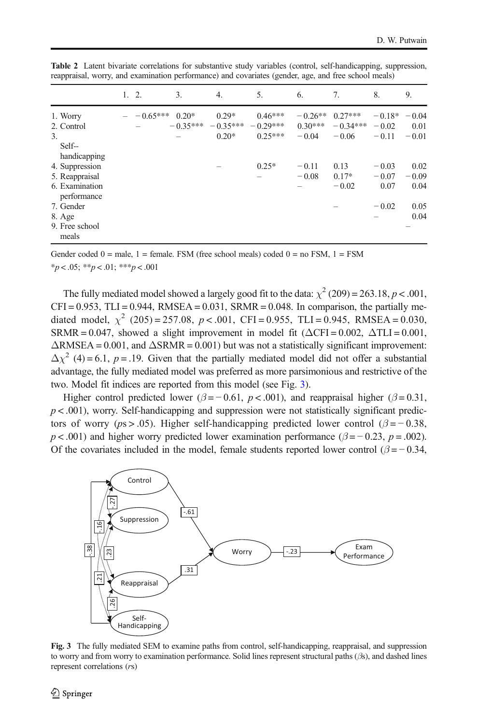|                         | 1, 2.      | 3.                       | 4.         | 5.                       | 6.        | 7.         | 8.               | 9.      |
|-------------------------|------------|--------------------------|------------|--------------------------|-----------|------------|------------------|---------|
| 1. Worry                | $-0.65***$ | $0.20*$                  | $0.29*$    | $0.46***$                | $-0.26**$ | $0.27***$  | $-0.18^* - 0.04$ |         |
| 2. Control              |            | $-0.35***$               | $-0.35***$ | $-0.29***$               | $0.30***$ | $-0.34***$ | $-0.02$          | 0.01    |
| 3.                      |            | $\overline{\phantom{a}}$ | $0.20*$    | $0.25***$                | $-0.04$   | $-0.06$    | $-0.11$          | $-0.01$ |
| Self--                  |            |                          |            |                          |           |            |                  |         |
| handicapping            |            |                          |            |                          |           |            |                  |         |
| 4. Suppression          |            |                          |            | $0.25*$                  | $-0.11$   | 0.13       | $-0.03$          | 0.02    |
| 5. Reappraisal          |            |                          |            | $\overline{\phantom{a}}$ | $-0.08$   | $0.17*$    | $-0.07$          | $-0.09$ |
| 6. Examination          |            |                          |            |                          | -         | $-0.02$    | 0.07             | 0.04    |
| performance             |            |                          |            |                          |           |            |                  |         |
| 7. Gender               |            |                          |            |                          |           |            | $-0.02$          | 0.05    |
| 8. Age                  |            |                          |            |                          |           |            | -                | 0.04    |
| 9. Free school<br>meals |            |                          |            |                          |           |            |                  |         |

<span id="page-10-0"></span>Table 2 Latent bivariate correlations for substantive study variables (control, self-handicapping, suppression, reappraisal, worry, and examination performance) and covariates (gender, age, and free school meals)

Gender coded  $0 =$  male,  $1 =$  female. FSM (free school meals) coded  $0 =$  no FSM,  $1 =$  FSM  $*_{p < .05;}$   $*_{p < .01;}$   $*_{p < .001}$ 

The fully mediated model showed a largely good fit to the data:  $\chi^2$  (209) = 263.18, p < .001,  $CFI = 0.953$ ,  $TLI = 0.944$ ,  $RMSEA = 0.031$ ,  $SRMR = 0.048$ . In comparison, the partially mediated model,  $\chi^2$  (205) = 257.08, p < .001, CFI = 0.955, TLI = 0.945, RMSEA = 0.030, SRMR = 0.047, showed a slight improvement in model fit ( $\triangle$ CFI = 0.002,  $\triangle$ TLI = 0.001,  $\Delta$ RMSEA = 0.001, and  $\Delta$ SRMR = 0.001) but was not a statistically significant improvement:  $\Delta \chi^2$  (4) = 6.1, p = .19. Given that the partially mediated model did not offer a substantial advantage, the fully mediated model was preferred as more parsimonious and restrictive of the two. Model fit indices are reported from this model (see Fig. 3).

Higher control predicted lower ( $\beta = -0.61$ ,  $p < .001$ ), and reappraisal higher ( $\beta = 0.31$ ,  $p < .001$ ), worry. Self-handicapping and suppression were not statistically significant predictors of worry ( $ps > .05$ ). Higher self-handicapping predicted lower control ( $\beta = -0.38$ ,  $p < .001$ ) and higher worry predicted lower examination performance ( $\beta = -0.23$ ,  $p = .002$ ). Of the covariates included in the model, female students reported lower control ( $\beta$  = −0.34,



Fig. 3 The fully mediated SEM to examine paths from control, self-handicapping, reappraisal, and suppression to worry and from worry to examination performance. Solid lines represent structural paths (βs), and dashed lines represent correlations (rs)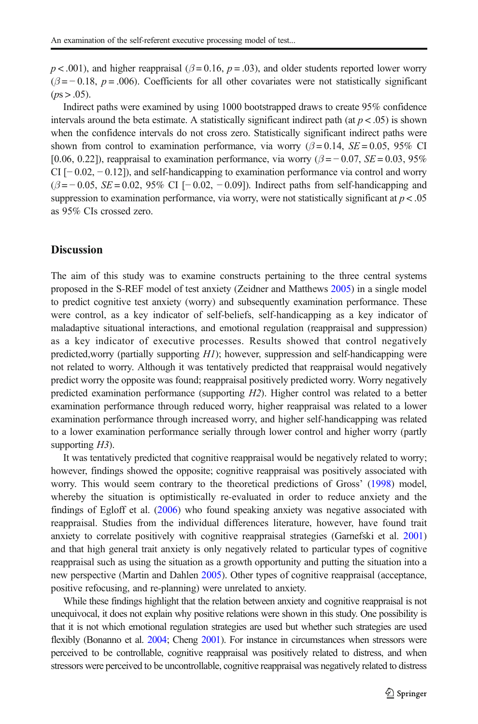$p < .001$ ), and higher reappraisal ( $\beta = 0.16$ ,  $p = .03$ ), and older students reported lower worry  $(\beta = -0.18, p = .006)$ . Coefficients for all other covariates were not statistically significant  $(ps > .05)$ .

Indirect paths were examined by using 1000 bootstrapped draws to create 95% confidence intervals around the beta estimate. A statistically significant indirect path (at  $p < .05$ ) is shown when the confidence intervals do not cross zero. Statistically significant indirect paths were shown from control to examination performance, via worry ( $\beta = 0.14$ ,  $SE = 0.05$ , 95% CI [0.06, 0.22]), reappraisal to examination performance, via worry ( $\beta$  = −0.07, SE = 0.03, 95% CI [− 0.02, − 0.12]), and self-handicapping to examination performance via control and worry  $(\beta = -0.05, SE = 0.02, 95\% \text{ CI} [-0.02, -0.09])$ . Indirect paths from self-handicapping and suppression to examination performance, via worry, were not statistically significant at  $p < .05$ as 95% CIs crossed zero.

# **Discussion**

The aim of this study was to examine constructs pertaining to the three central systems proposed in the S-REF model of test anxiety (Zeidner and Matthews [2005\)](#page-17-0) in a single model to predict cognitive test anxiety (worry) and subsequently examination performance. These were control, as a key indicator of self-beliefs, self-handicapping as a key indicator of maladaptive situational interactions, and emotional regulation (reappraisal and suppression) as a key indicator of executive processes. Results showed that control negatively predicted,worry (partially supporting H1); however, suppression and self-handicapping were not related to worry. Although it was tentatively predicted that reappraisal would negatively predict worry the opposite was found; reappraisal positively predicted worry. Worry negatively predicted examination performance (supporting  $H2$ ). Higher control was related to a better examination performance through reduced worry, higher reappraisal was related to a lower examination performance through increased worry, and higher self-handicapping was related to a lower examination performance serially through lower control and higher worry (partly supporting  $H3$ ).

It was tentatively predicted that cognitive reappraisal would be negatively related to worry; however, findings showed the opposite; cognitive reappraisal was positively associated with worry. This would seem contrary to the theoretical predictions of Gross' [\(1998\)](#page-15-0) model, whereby the situation is optimistically re-evaluated in order to reduce anxiety and the findings of Egloff et al. ([2006](#page-15-0)) who found speaking anxiety was negative associated with reappraisal. Studies from the individual differences literature, however, have found trait anxiety to correlate positively with cognitive reappraisal strategies (Garnefski et al. [2001\)](#page-15-0) and that high general trait anxiety is only negatively related to particular types of cognitive reappraisal such as using the situation as a growth opportunity and putting the situation into a new perspective (Martin and Dahlen [2005\)](#page-16-0). Other types of cognitive reappraisal (acceptance, positive refocusing, and re-planning) were unrelated to anxiety.

While these findings highlight that the relation between anxiety and cognitive reappraisal is not unequivocal, it does not explain why positive relations were shown in this study. One possibility is that it is not which emotional regulation strategies are used but whether such strategies are used flexibly (Bonanno et al. [2004](#page-14-0); Cheng [2001\)](#page-14-0). For instance in circumstances when stressors were perceived to be controllable, cognitive reappraisal was positively related to distress, and when stressors were perceived to be uncontrollable, cognitive reappraisal was negatively related to distress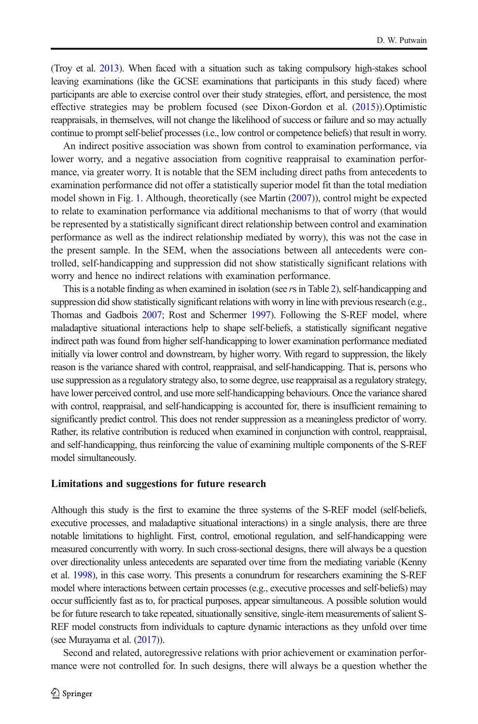(Troy et al. [2013](#page-17-0)). When faced with a situation such as taking compulsory high-stakes school leaving examinations (like the GCSE examinations that participants in this study faced) where participants are able to exercise control over their study strategies, effort, and persistence, the most effective strategies may be problem focused (see Dixon-Gordon et al. ([2015\)](#page-15-0)).Optimistic reappraisals, in themselves, will not change the likelihood of success or failure and so may actually continue to prompt self-belief processes (i.e., low control or competence beliefs) that result in worry.

An indirect positive association was shown from control to examination performance, via lower worry, and a negative association from cognitive reappraisal to examination performance, via greater worry. It is notable that the SEM including direct paths from antecedents to examination performance did not offer a statistically superior model fit than the total mediation model shown in Fig. [1](#page-3-0). Although, theoretically (see Martin [\(2007\)](#page-16-0)), control might be expected to relate to examination performance via additional mechanisms to that of worry (that would be represented by a statistically significant direct relationship between control and examination performance as well as the indirect relationship mediated by worry), this was not the case in the present sample. In the SEM, when the associations between all antecedents were controlled, self-handicapping and suppression did not show statistically significant relations with worry and hence no indirect relations with examination performance.

This is a notable finding as when examined in isolation (see rs in Table [2\)](#page-10-0), self-handicapping and suppression did show statistically significant relations with worry in line with previous research (e.g., Thomas and Gadbois [2007;](#page-17-0) Rost and Schermer [1997\)](#page-17-0). Following the S-REF model, where maladaptive situational interactions help to shape self-beliefs, a statistically significant negative indirect path was found from higher self-handicapping to lower examination performance mediated initially via lower control and downstream, by higher worry. With regard to suppression, the likely reason is the variance shared with control, reappraisal, and self-handicapping. That is, persons who use suppression as a regulatory strategy also, to some degree, use reappraisal as a regulatory strategy, have lower perceived control, and use more self-handicapping behaviours. Once the variance shared with control, reappraisal, and self-handicapping is accounted for, there is insufficient remaining to significantly predict control. This does not render suppression as a meaningless predictor of worry. Rather, its relative contribution is reduced when examined in conjunction with control, reappraisal, and self-handicapping, thus reinforcing the value of examining multiple components of the S-REF model simultaneously.

#### Limitations and suggestions for future research

Although this study is the first to examine the three systems of the S-REF model (self-beliefs, executive processes, and maladaptive situational interactions) in a single analysis, there are three notable limitations to highlight. First, control, emotional regulation, and self-handicapping were measured concurrently with worry. In such cross-sectional designs, there will always be a question over directionality unless antecedents are separated over time from the mediating variable (Kenny et al. [1998\)](#page-15-0), in this case worry. This presents a conundrum for researchers examining the S-REF model where interactions between certain processes (e.g., executive processes and self-beliefs) may occur sufficiently fast as to, for practical purposes, appear simultaneous. A possible solution would be for future research to take repeated, situationally sensitive, single-item measurements of salient S-REF model constructs from individuals to capture dynamic interactions as they unfold over time (see Murayama et al. [\(2017\)](#page-16-0)).

Second and related, autoregressive relations with prior achievement or examination performance were not controlled for. In such designs, there will always be a question whether the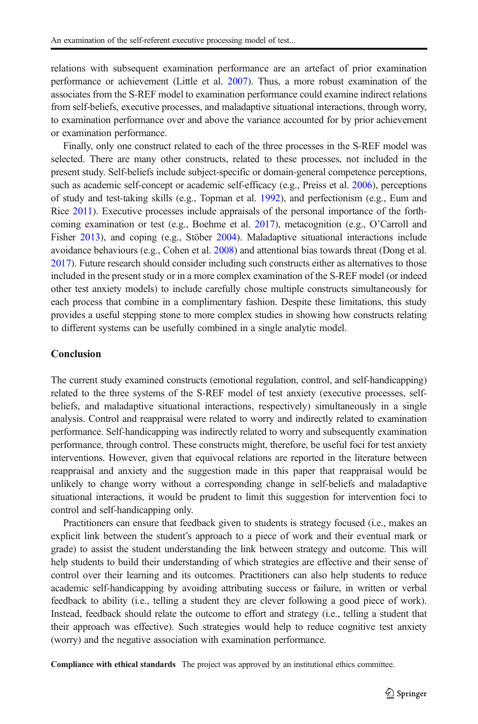relations with subsequent examination performance are an artefact of prior examination performance or achievement (Little et al. [2007\)](#page-15-0). Thus, a more robust examination of the associates from the S-REF model to examination performance could examine indirect relations from self-beliefs, executive processes, and maladaptive situational interactions, through worry, to examination performance over and above the variance accounted for by prior achievement or examination performance.

Finally, only one construct related to each of the three processes in the S-REF model was selected. There are many other constructs, related to these processes, not included in the present study. Self-beliefs include subject-specific or domain-general competence perceptions, such as academic self-concept or academic self-efficacy (e.g., Preiss et al. [2006](#page-16-0)), perceptions of study and test-taking skills (e.g., Topman et al. [1992\)](#page-17-0), and perfectionism (e.g., Eum and Rice [2011](#page-15-0)). Executive processes include appraisals of the personal importance of the forthcoming examination or test (e.g., Boehme et al. [2017\)](#page-14-0), metacognition (e.g., O'Carroll and Fisher [2013](#page-16-0)), and coping (e.g., Stöber [2004\)](#page-17-0). Maladaptive situational interactions include avoidance behaviours (e.g., Cohen et al. [2008](#page-14-0)) and attentional bias towards threat (Dong et al. [2017](#page-15-0)). Future research should consider including such constructs either as alternatives to those included in the present study or in a more complex examination of the S-REF model (or indeed other test anxiety models) to include carefully chose multiple constructs simultaneously for each process that combine in a complimentary fashion. Despite these limitations, this study provides a useful stepping stone to more complex studies in showing how constructs relating to different systems can be usefully combined in a single analytic model.

### Conclusion

The current study examined constructs (emotional regulation, control, and self-handicapping) related to the three systems of the S-REF model of test anxiety (executive processes, selfbeliefs, and maladaptive situational interactions, respectively) simultaneously in a single analysis. Control and reappraisal were related to worry and indirectly related to examination performance. Self-handicapping was indirectly related to worry and subsequently examination performance, through control. These constructs might, therefore, be useful foci for test anxiety interventions. However, given that equivocal relations are reported in the literature between reappraisal and anxiety and the suggestion made in this paper that reappraisal would be unlikely to change worry without a corresponding change in self-beliefs and maladaptive situational interactions, it would be prudent to limit this suggestion for intervention foci to control and self-handicapping only.

Practitioners can ensure that feedback given to students is strategy focused (i.e., makes an explicit link between the student's approach to a piece of work and their eventual mark or grade) to assist the student understanding the link between strategy and outcome. This will help students to build their understanding of which strategies are effective and their sense of control over their learning and its outcomes. Practitioners can also help students to reduce academic self-handicapping by avoiding attributing success or failure, in written or verbal feedback to ability (i.e., telling a student they are clever following a good piece of work). Instead, feedback should relate the outcome to effort and strategy (i.e., telling a student that their approach was effective). Such strategies would help to reduce cognitive test anxiety (worry) and the negative association with examination performance.

Compliance with ethical standards The project was approved by an institutional ethics committee.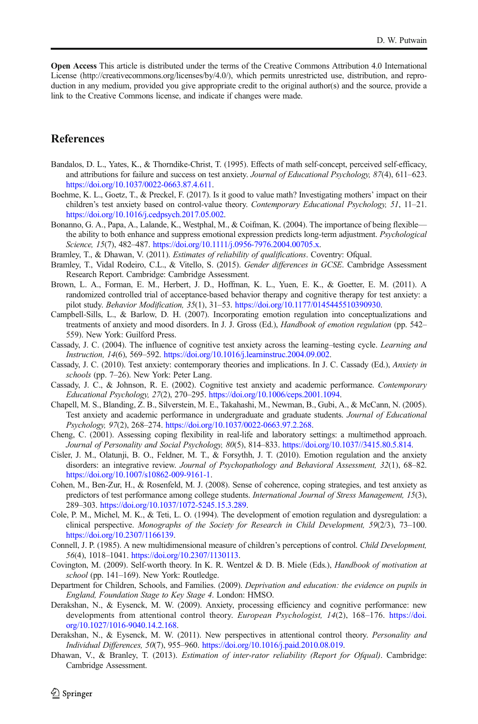<span id="page-14-0"></span>Open Access This article is distributed under the terms of the Creative Commons Attribution 4.0 International License (http://creativecommons.org/licenses/by/4.0/), which permits unrestricted use, distribution, and reproduction in any medium, provided you give appropriate credit to the original author(s) and the source, provide a link to the Creative Commons license, and indicate if changes were made.

# **References**

- Bandalos, D. L., Yates, K., & Thorndike-Christ, T. (1995). Effects of math self-concept, perceived self-efficacy, and attributions for failure and success on test anxiety. Journal of Educational Psychology, 87(4), 611–623. [https://doi.org/10.1037/0022-0663.87.4.611.](https://doi.org/10.1037/0022-0663.87.4.611)
- Boehme, K. L., Goetz, T., & Preckel, F. (2017). Is it good to value math? Investigating mothers' impact on their children's test anxiety based on control-value theory. Contemporary Educational Psychology, 51, 11–21. [https://doi.org/10.1016/j.cedpsych.2017.05.002.](https://doi.org/10.1016/j.cedpsych.2017.05.002)
- Bonanno, G. A., Papa, A., Lalande, K., Westphal, M., & Coifman, K. (2004). The importance of being flexible the ability to both enhance and suppress emotional expression predicts long-term adjustment. Psychological Science, 15(7), 482-487. [https://doi.org/10.1111/j.0956-7976.2004.00705.x.](https://doi.org/10.1111/j.0956-7976.2004.00705.x)
- Bramley, T., & Dhawan, V. (2011). Estimates of reliability of qualifications. Coventry: Ofqual.
- Bramley, T., Vidal Rodeiro, C.L., & Vitello, S. (2015). Gender differences in GCSE. Cambridge Assessment Research Report. Cambridge: Cambridge Assessment.
- Brown, L. A., Forman, E. M., Herbert, J. D., Hoffman, K. L., Yuen, E. K., & Goetter, E. M. (2011). A randomized controlled trial of acceptance-based behavior therapy and cognitive therapy for test anxiety: a pilot study. Behavior Modification, 35(1), 31–53. [https://doi.org/10.1177/0145445510390930.](https://doi.org/10.1177/0145445510390930)
- Campbell-Sills, L., & Barlow, D. H. (2007). Incorporating emotion regulation into conceptualizations and treatments of anxiety and mood disorders. In J. J. Gross (Ed.), Handbook of emotion regulation (pp. 542-559). New York: Guilford Press.
- Cassady, J. C. (2004). The influence of cognitive test anxiety across the learning–testing cycle. Learning and Instruction, 14(6), 569–592. [https://doi.org/10.1016/j.learninstruc.2004.09.002.](https://doi.org/10.1016/j.learninstruc.2004.09.002)
- Cassady, J. C. (2010). Test anxiety: contemporary theories and implications. In J. C. Cassady (Ed.), Anxiety in schools (pp. 7–26). New York: Peter Lang.
- Cassady, J. C., & Johnson, R. E. (2002). Cognitive test anxiety and academic performance. Contemporary Educational Psychology, 27(2), 270–295. <https://doi.org/10.1006/ceps.2001.1094>.
- Chapell, M. S., Blanding, Z. B., Silverstein, M. E., Takahashi, M., Newman, B., Gubi, A., & McCann, N. (2005). Test anxiety and academic performance in undergraduate and graduate students. Journal of Educational Psychology, 97(2), 268–274. [https://doi.org/10.1037/0022-0663.97.2.268.](https://doi.org/10.1037/0022-0663.97.2.268)
- Cheng, C. (2001). Assessing coping flexibility in real-life and laboratory settings: a multimethod approach. Journal of Personality and Social Psychology, 80(5), 814–833. <https://doi.org/10.1037//3415.80.5.814>.
- Cisler, J. M., Olatunji, B. O., Feldner, M. T., & Forsythh, J. T. (2010). Emotion regulation and the anxiety disorders: an integrative review. Journal of Psychopathology and Behavioral Assessment, 32(1), 68–82. <https://doi.org/10.1007/s10862-009-9161-1>.
- Cohen, M., Ben-Zur, H., & Rosenfeld, M. J. (2008). Sense of coherence, coping strategies, and test anxiety as predictors of test performance among college students. International Journal of Stress Management, 15(3), 289–303. [https://doi.org/10.1037/1072-5245.15.3.289.](https://doi.org/10.1037/1072-5245.15.3.289)
- Cole, P. M., Michel, M. K., & Teti, L. O. (1994). The development of emotion regulation and dysregulation: a clinical perspective. Monographs of the Society for Research in Child Development, 59(2/3), 73–100. [https://doi.org/10.2307/1166139.](https://doi.org/10.2307/1166139)
- Connell, J. P. (1985). A new multidimensional measure of children's perceptions of control. Child Development, 56(4), 1018–1041. <https://doi.org/10.2307/1130113>.
- Covington, M. (2009). Self-worth theory. In K. R. Wentzel & D. B. Miele (Eds.), Handbook of motivation at school (pp. 141–169). New York: Routledge.
- Department for Children, Schools, and Families. (2009). Deprivation and education: the evidence on pupils in England, Foundation Stage to Key Stage 4. London: HMSO.
- Derakshan, N., & Eysenck, M. W. (2009). Anxiety, processing efficiency and cognitive performance: new developments from attentional control theory. *European Psychologist*, 14(2), 168–176. [https://doi.](https://doi.org/10.1027/1016-9040.14.2.168) [org/10.1027/1016-9040.14.2.168](https://doi.org/10.1027/1016-9040.14.2.168).
- Derakshan, N., & Eysenck, M. W. (2011). New perspectives in attentional control theory. Personality and Individual Differences, 50(7), 955–960. <https://doi.org/10.1016/j.paid.2010.08.019>.
- Dhawan, V., & Branley, T. (2013). Estimation of inter-rator reliability (Report for Ofqual). Cambridge: Cambridge Assessment.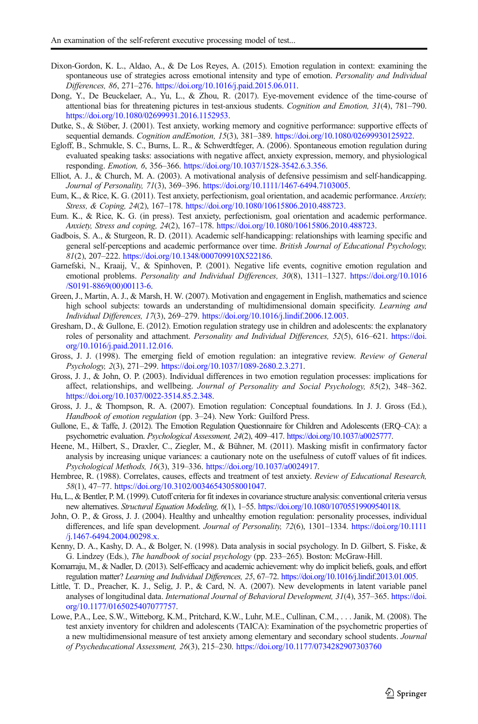- <span id="page-15-0"></span>Dixon-Gordon, K. L., Aldao, A., & De Los Reyes, A. (2015). Emotion regulation in context: examining the spontaneous use of strategies across emotional intensity and type of emotion. Personality and Individual Differences, 86, 271–276. [https://doi.org/10.1016/j.paid.2015.06.011.](https://doi.org/10.1016/j.paid.2015.06.011)
- Dong, Y., De Beuckelaer, A., Yu, L., & Zhou, R. (2017). Eye-movement evidence of the time-course of attentional bias for threatening pictures in test-anxious students. Cognition and Emotion, 31(4), 781–790. [https://doi.org/10.1080/02699931.2016.1152953.](https://doi.org/10.1080/02699931.2016.1152953)
- Dutke, S., & Stöber, J. (2001). Test anxiety, working memory and cognitive performance: supportive effects of sequential demands. Cognition andEmotion, 15(3), 381-389. <https://doi.org/10.1080/02699930125922>.
- Egloff, B., Schmukle, S. C., Burns, L. R., & Schwerdtfeger, A. (2006). Spontaneous emotion regulation during evaluated speaking tasks: associations with negative affect, anxiety expression, memory, and physiological responding. Emotion, 6, 356–366. [https://doi.org/10.1037/1528-3542.6.3.356.](https://doi.org/10.1037/1528-3542.6.3.356)
- Elliot, A. J., & Church, M. A. (2003). A motivational analysis of defensive pessimism and self-handicapping. Journal of Personality, 71(3), 369–396. <https://doi.org/10.1111/1467-6494.7103005>.
- Eum, K., & Rice, K. G. (2011). Test anxiety, perfectionism, goal orientation, and academic performance. Anxiety, Stress, & Coping, 24(2), 167–178. <https://doi.org/10.1080/10615806.2010.488723>.
- Eum. K., & Rice, K. G. (in press). Test anxiety, perfectionism, goal orientation and academic performance. Anxiety, Stress and coping, 24(2), 167–178. [https://doi.org/10.1080/10615806.2010.488723.](https://doi.org/10.1080/10615806.2010.488723)
- Gadbois, S. A., & Sturgeon, R. D. (2011). Academic self-handicapping: relationships with learning specific and general self-perceptions and academic performance over time. British Journal of Educational Psychology, 81(2), 207–222. [https://doi.org/10.1348/000709910X522186.](https://doi.org/10.1348/000709910X522186)
- Garnefski, N., Kraaij, V., & Spinhoven, P. (2001). Negative life events, cognitive emotion regulation and emotional problems. Personality and Individual Differences, 30(8), 1311-1327. [https://doi.org/10.1016](https://doi.org/10.1016/S0191-8869(00)00113-6) [/S0191-8869\(00\)00113-6.](https://doi.org/10.1016/S0191-8869(00)00113-6)
- Green, J., Martin, A. J., & Marsh, H. W. (2007). Motivation and engagement in English, mathematics and science high school subjects: towards an understanding of multidimensional domain specificity. Learning and Individual Differences, 17(3), 269–279. [https://doi.org/10.1016/j.lindif.2006.12.003.](https://doi.org/10.1016/j.lindif.2006.12.003)
- Gresham, D., & Gullone, E. (2012). Emotion regulation strategy use in children and adolescents: the explanatory roles of personality and attachment. Personality and Individual Differences, 52(5), 616–621. [https://doi.](https://doi.org/10.1016/j.paid.2011.12.016) [org/10.1016/j.paid.2011.12.016](https://doi.org/10.1016/j.paid.2011.12.016).
- Gross, J. J. (1998). The emerging field of emotion regulation: an integrative review. Review of General Psychology, 2(3), 271–299. [https://doi.org/10.1037/1089-2680.2.3.271.](https://doi.org/10.1037/1089-2680.2.3.271)
- Gross, J. J., & John, O. P. (2003). Individual differences in two emotion regulation processes: implications for affect, relationships, and wellbeing. Journal of Personality and Social Psychology, 85(2), 348-362. <https://doi.org/10.1037/0022-3514.85.2.348>.
- Gross, J. J., & Thompson, R. A. (2007). Emotion regulation: Conceptual foundations. In J. J. Gross (Ed.), Handbook of emotion regulation (pp. 3–24). New York: Guilford Press.
- Gullone, E., & Taffe, J. (2012). The Emotion Regulation Questionnaire for Children and Adolescents (ERQ–CA): a psychometric evaluation. Psychological Assessment, 24(2), 409–417. <https://doi.org/10.1037/a0025777>.
- Heene, M., Hilbert, S., Draxler, C., Ziegler, M., & Bühner, M. (2011). Masking misfit in confirmatory factor analysis by increasing unique variances: a cautionary note on the usefulness of cutoff values of fit indices. Psychological Methods, 16(3), 319–336. [https://doi.org/10.1037/a0024917.](https://doi.org/10.1037/a0024917)
- Hembree, R. (1988). Correlates, causes, effects and treatment of test anxiety. Review of Educational Research, 58(1), 47–77. <https://doi.org/10.3102/00346543058001047>.
- Hu, L., & Bentler, P. M. (1999). Cutoff criteria for fit indexes in covariance structure analysis: conventional criteria versus new alternatives. Structural Equation Modeling, 6(1), 1–55. [https://doi.org/10.1080/10705519909540118.](https://doi.org/10.1080/10705519909540118)
- John, O. P., & Gross, J. J. (2004). Healthy and unhealthy emotion regulation: personality processes, individual differences, and life span development. Journal of Personality, 72(6), 1301-1334. [https://doi.org/10.1111](https://doi.org/10.1111/j.1467-6494.2004.00298.x) [/j.1467-6494.2004.00298.x.](https://doi.org/10.1111/j.1467-6494.2004.00298.x)
- Kenny, D. A., Kashy, D. A., & Bolger, N. (1998). Data analysis in social psychology. In D. Gilbert, S. Fiske, & G. Lindzey (Eds.), The handbook of social psychology (pp. 233–265). Boston: McGraw-Hill.
- Komarraju, M., & Nadler, D. (2013). Self-efficacy and academic achievement: why do implicit beliefs, goals, and effort regulation matter? Learning and Individual Differences, 25, 67–72. [https://doi.org/10.1016/j.lindif.2013.01.005.](https://doi.org/10.1016/j.lindif.2013.01.005)
- Little, T. D., Preacher, K. J., Selig, J. P., & Card, N. A. (2007). New developments in latent variable panel analyses of longitudinal data. International Journal of Behavioral Development, 31(4), 357–365. [https://doi.](https://doi.org/10.1177/0165025407077757) [org/10.1177/0165025407077757.](https://doi.org/10.1177/0165025407077757)
- Lowe, P.A., Lee, S.W., Witteborg, K.M., Pritchard, K.W., Luhr, M.E., Cullinan, C.M., . . . Janik, M. (2008). The test anxiety inventory for children and adolescents (TAICA): Examination of the psychometric properties of a new multidimensional measure of test anxiety among elementary and secondary school students. Journal of Psycheducational Assessment, 26(3), 215–230. <https://doi.org/10.1177/0734282907303760>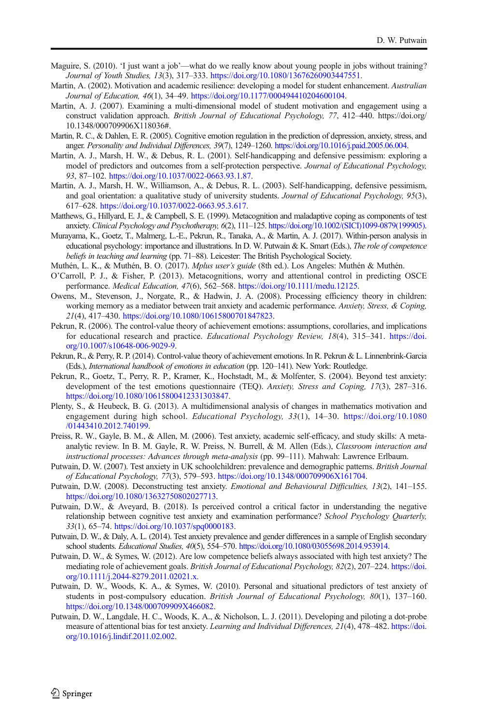- <span id="page-16-0"></span>Maguire, S. (2010). 'I just want a job'—what do we really know about young people in jobs without training? Journal of Youth Studies, 13(3), 317–333. <https://doi.org/10.1080/13676260903447551>.
- Martin, A. (2002). Motivation and academic resilience: developing a model for student enhancement. Australian Journal of Education, 46(1), 34–49. <https://doi.org/10.1177/000494410204600104>.
- Martin, A. J. (2007). Examining a multi-dimensional model of student motivation and engagement using a construct validation approach. British Journal of Educational Psychology, 77, 412-440. https://doi.org/ 10.1348/000709906X118036#.
- Martin, R. C., & Dahlen, E. R. (2005). Cognitive emotion regulation in the prediction of depression, anxiety, stress, and anger. Personality and Individual Differences, 39(7), 1249–1260. <https://doi.org/10.1016/j.paid.2005.06.004>.
- Martin, A. J., Marsh, H. W., & Debus, R. L. (2001). Self-handicapping and defensive pessimism: exploring a model of predictors and outcomes from a self-protection perspective. Journal of Educational Psychology, 93, 87–102. [https://doi.org/10.1037/0022-0663.93.1.87.](https://doi.org/10.1037/0022-0663.93.1.87)
- Martin, A. J., Marsh, H. W., Williamson, A., & Debus, R. L. (2003). Self-handicapping, defensive pessimism, and goal orientation: a qualitative study of university students. Journal of Educational Psychology, 95(3), 617–628. [https://doi.org/10.1037/0022-0663.95.3.617.](https://doi.org/10.1037/0022-0663.95.3.617)
- Matthews, G., Hillyard, E. J., & Campbell, S. E. (1999). Metacognition and maladaptive coping as components of test anxiety. Clinical Psychology and Psychotherapy, 6(2), 111–125. [https://doi.org/10.1002/\(SICI\)1099-0879\(199905\).](https://doi.org/10.1002/(SICI)1099-0879(199905))
- Murayama, K., Goetz, T., Malmerg, L.-E., Pekrun, R., Tanaka, A., & Martin, A. J. (2017). Within-person analysis in educational psychology: importance and illustrations. In D. W. Putwain & K. Smart (Eds.), The role of competence beliefs in teaching and learning (pp. 71–88). Leicester: The British Psychological Society.
- Muthén, L. K., & Muthén, B. O. (2017). Mplus user's guide (8th ed.). Los Angeles: Muthén & Muthén.
- O'Carroll, P. J., & Fisher, P. (2013). Metacognitions, worry and attentional control in predicting OSCE performance. Medical Education, 47(6), 562–568. [https://doi.org/10.1111/medu.12125.](https://doi.org/10.1111/medu.12125)
- Owens, M., Stevenson, J., Norgate, R., & Hadwin, J. A. (2008). Processing efficiency theory in children: working memory as a mediator between trait anxiety and academic performance. Anxiety, Stress, & Coping, 21(4), 417–430. [https://doi.org/10.1080/10615800701847823.](https://doi.org/10.1080/10615800701847823)
- Pekrun, R. (2006). The control-value theory of achievement emotions: assumptions, corollaries, and implications for educational research and practice. Educational Psychology Review, 18(4), 315-341. [https://doi.](https://doi.org/10.1007/s10648-006-9029-9) [org/10.1007/s10648-006-9029-9.](https://doi.org/10.1007/s10648-006-9029-9)
- Pekrun, R., & Perry, R. P. (2014). Control-value theory of achievement emotions. In R. Pekrun & L. Linnenbrink-Garcia (Eds.), International handbook of emotions in education (pp. 120–141). New York: Routledge.
- Pekrun, R., Goetz, T., Perry, R. P., Kramer, K., Hochstadt, M., & Molfenter, S. (2004). Beyond test anxiety: development of the test emotions questionnaire (TEQ). Anxiety, Stress and Coping, 17(3), 287-316. <https://doi.org/10.1080/10615800412331303847>.
- Plenty, S., & Heubeck, B. G. (2013). A multidimensional analysis of changes in mathematics motivation and engagement during high school. Educational Psychology, 33(1), 14–30. [https://doi.org/10.1080](https://doi.org/10.1080/01443410.2012.740199) [/01443410.2012.740199](https://doi.org/10.1080/01443410.2012.740199).
- Preiss, R. W., Gayle, B. M., & Allen, M. (2006). Test anxiety, academic self-efficacy, and study skills: A metaanalytic review. In B. M. Gayle, R. W. Preiss, N. Burrell, & M. Allen (Eds.), Classroom interaction and instructional processes: Advances through meta-analysis (pp. 99–111). Mahwah: Lawrence Erlbaum.
- Putwain, D. W. (2007). Test anxiety in UK schoolchildren: prevalence and demographic patterns. British Journal of Educational Psychology, 77(3), 579–593. <https://doi.org/10.1348/000709906X161704>.
- Putwain, D.W. (2008). Deconstructing test anxiety. Emotional and Behavioural Difficulties, 13(2), 141-155. [https://doi.org/10.1080/13632750802027713.](https://doi.org/10.1080/13632750802027713)
- Putwain, D.W., & Aveyard, B. (2018). Is perceived control a critical factor in understanding the negative relationship between cognitive test anxiety and examination performance? School Psychology Quarterly, 33(1), 65–74. <https://doi.org/10.1037/spq0000183>.
- Putwain, D. W., & Daly, A. L. (2014). Test anxiety prevalence and gender differences in a sample of English secondary school students. Educational Studies, 40(5), 554–570. [https://doi.org/10.1080/03055698.2014.953914.](https://doi.org/10.1080/03055698.2014.953914)
- Putwain, D. W., & Symes, W. (2012). Are low competence beliefs always associated with high test anxiety? The mediating role of achievement goals. British Journal of Educational Psychology, 82(2), 207–224. [https://doi.](https://doi.org/10.1111/j.2044-8279.2011.02021.x) [org/10.1111/j.2044-8279.2011.02021.x.](https://doi.org/10.1111/j.2044-8279.2011.02021.x)
- Putwain, D. W., Woods, K. A., & Symes, W. (2010). Personal and situational predictors of test anxiety of students in post-compulsory education. British Journal of Educational Psychology, 80(1), 137-160. <https://doi.org/10.1348/000709909X466082>.
- Putwain, D. W., Langdale, H. C., Woods, K. A., & Nicholson, L. J. (2011). Developing and piloting a dot-probe measure of attentional bias for test anxiety. Learning and Individual Differences, 21(4), 478–482. [https://doi.](https://doi.org/10.1016/j.lindif.2011.02.002) [org/10.1016/j.lindif.2011.02.002.](https://doi.org/10.1016/j.lindif.2011.02.002)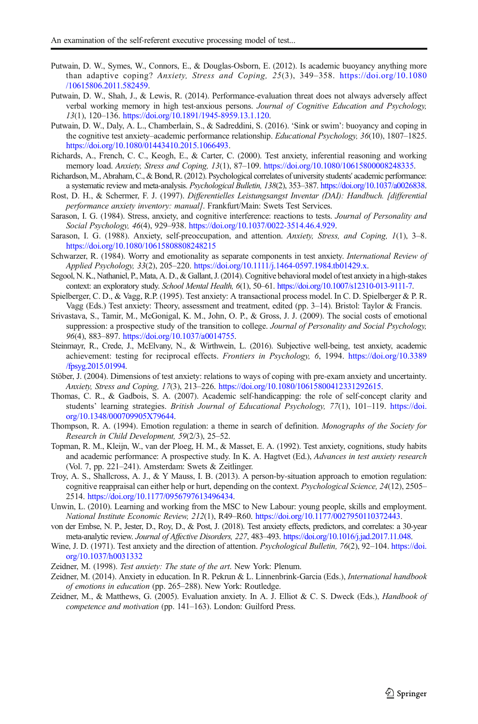- <span id="page-17-0"></span>Putwain, D. W., Symes, W., Connors, E., & Douglas-Osborn, E. (2012). Is academic buoyancy anything more than adaptive coping? Anxiety, Stress and Coping, 25(3), 349–358. [https://doi.org/10.1080](https://doi.org/10.1080/10615806.2011.582459) [/10615806.2011.582459](https://doi.org/10.1080/10615806.2011.582459).
- Putwain, D. W., Shah, J., & Lewis, R. (2014). Performance-evaluation threat does not always adversely affect verbal working memory in high test-anxious persons. Journal of Cognitive Education and Psychology, 13(1), 120–136. <https://doi.org/10.1891/1945-8959.13.1.120>.
- Putwain, D. W., Daly, A. L., Chamberlain, S., & Sadreddini, S. (2016). 'Sink or swim': buoyancy and coping in the cognitive test anxiety–academic performance relationship. Educational Psychology, 36(10), 1807–1825. <https://doi.org/10.1080/01443410.2015.1066493>.
- Richards, A., French, C. C., Keogh, E., & Carter, C. (2000). Test anxiety, inferential reasoning and working memory load. Anxiety, Stress and Coping, 13(1), 87–109. [https://doi.org/10.1080/10615800008248335.](https://doi.org/10.1080/10615800008248335)
- Richardson, M., Abraham, C., & Bond, R. (2012). Psychological correlates of university students' academic performance: a systematic review and meta-analysis. Psychological Bulletin, 138(2), 353–387. [https://doi.org/10.1037/a0026838.](https://doi.org/10.1037/a0026838)
- Rost, D. H., & Schermer, F. J. (1997). Differentielles Leistungsangst Inventar (DAI): Handbuch. [differential performance anxiety inventory: manual]. Frankfurt/Main: Swets Test Services.
- Sarason, I. G. (1984). Stress, anxiety, and cognitive interference: reactions to tests. Journal of Personality and Social Psychology, 46(4), 929–938. <https://doi.org/10.1037/0022-3514.46.4.929>.
- Sarason, I. G. (1988). Anxiety, self-preoccupation, and attention. Anxiety, Stress, and Coping, 1(1), 3–8. <https://doi.org/10.1080/10615808808248215>
- Schwarzer, R. (1984). Worry and emotionality as separate components in test anxiety. International Review of Applied Psychology, 33(2), 205–220. <https://doi.org/10.1111/j.1464-0597.1984.tb01429.x>.
- Segool, N. K., Nathaniel, P., Mata, A. D., & Gallant, J. (2014). Cognitive behavioral model of test anxiety in a high-stakes context: an exploratory study. School Mental Health, 6(1), 50-61. [https://doi.org/10.1007/s12310-013-9111-7.](https://doi.org/10.1007/s12310-013-9111-7)
- Spielberger, C. D., & Vagg, R.P. (1995). Test anxiety: A transactional process model. In C. D. Spielberger & P. R. Vagg (Eds.) Test anxiety: Theory, assessment and treatment, edited (pp. 3–14). Bristol: Taylor & Francis.
- Srivastava, S., Tamir, M., McGonigal, K. M., John, O. P., & Gross, J. J. (2009). The social costs of emotional suppression: a prospective study of the transition to college. Journal of Personality and Social Psychology, 96(4), 883–897. <https://doi.org/10.1037/a0014755>.
- Steinmayr, R., Crede, J., McElvany, N., & Wirthwein, L. (2016). Subjective well-being, test anxiety, academic achievement: testing for reciprocal effects. Frontiers in Psychology, 6, 1994. [https://doi.org/10.3389](https://doi.org/10.3389/fpsyg.2015.01994) [/fpsyg.2015.01994](https://doi.org/10.3389/fpsyg.2015.01994).
- Stöber, J. (2004). Dimensions of test anxiety: relations to ways of coping with pre-exam anxiety and uncertainty. Anxiety, Stress and Coping, 17(3), 213–226. [https://doi.org/10.1080/10615800412331292615.](https://doi.org/10.1080/10615800412331292615)
- Thomas, C. R., & Gadbois, S. A. (2007). Academic self-handicapping: the role of self-concept clarity and students' learning strategies. British Journal of Educational Psychology, 77(1), 101-119. [https://doi.](https://doi.org/10.1348/000709905X79644) [org/10.1348/000709905X79644.](https://doi.org/10.1348/000709905X79644)
- Thompson, R. A. (1994). Emotion regulation: a theme in search of definition. Monographs of the Society for Research in Child Development, 59(2/3), 25–52.
- Topman, R. M., Kleijn, W., van der Ploeg, H. M., & Masset, E. A. (1992). Test anxiety, cognitions, study habits and academic performance: A prospective study. In K. A. Hagtvet (Ed.), Advances in test anxiety research (Vol. 7, pp. 221–241). Amsterdam: Swets & Zeitlinger.
- Troy, A. S., Shallcross, A. J., & Y Mauss, I. B. (2013). A person-by-situation approach to emotion regulation: cognitive reappraisal can either help or hurt, depending on the context. Psychological Science, 24(12), 2505– 2514. <https://doi.org/10.1177/0956797613496434>.
- Unwin, L. (2010). Learning and working from the MSC to New Labour: young people, skills and employment. National Institute Economic Review, 212(1), R49–R60. <https://doi.org/10.1177/0027950110372443>.
- von der Embse, N. P., Jester, D., Roy, D., & Post, J. (2018). Test anxiety effects, predictors, and correlates: a 30-year meta-analytic review. Journal of Affective Disorders, 227, 483–493. [https://doi.org/10.1016/j.jad.2017.11.048.](https://doi.org/10.1016/j.jad.2017.11.048)
- Wine, J. D. (1971). Test anxiety and the direction of attention. Psychological Bulletin, 76(2), 92–104. [https://doi.](https://doi.org/10.1037/h0031332) [org/10.1037/h0031332](https://doi.org/10.1037/h0031332)
- Zeidner, M. (1998). Test anxiety: The state of the art. New York: Plenum.
- Zeidner, M. (2014). Anxiety in education. In R. Pekrun & L. Linnenbrink-Garcia (Eds.), International handbook of emotions in education (pp. 265–288). New York: Routledge.
- Zeidner, M., & Matthews, G. (2005). Evaluation anxiety. In A. J. Elliot & C. S. Dweck (Eds.), *Handbook of* competence and motivation (pp. 141–163). London: Guilford Press.